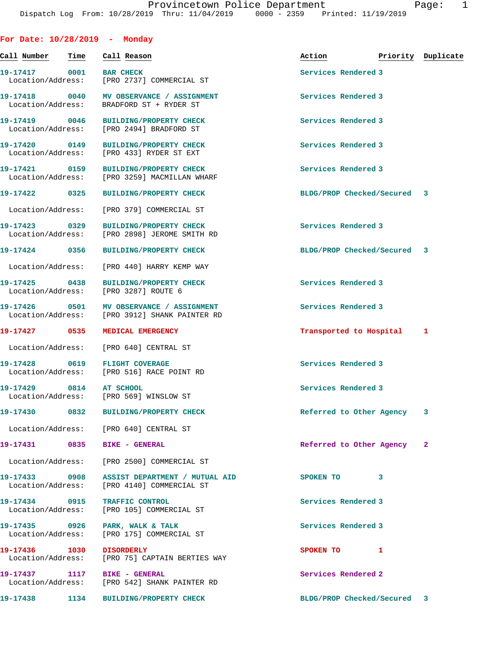**For Date: 10/28/2019 - Monday**

| Call Number - Time                           |      | Call Reason                                                                                | Action                      | Priority Duplicate |   |
|----------------------------------------------|------|--------------------------------------------------------------------------------------------|-----------------------------|--------------------|---|
| 19-17417 0001 BAR CHECK<br>Location/Address: |      | [PRO 2737] COMMERCIAL ST                                                                   | Services Rendered 3         |                    |   |
|                                              |      | 19-17418 0040 MV OBSERVANCE / ASSIGNMENT<br>Location/Address: BRADFORD ST + RYDER ST       | Services Rendered 3         |                    |   |
| 19-17419 0046                                |      | <b>BUILDING/PROPERTY CHECK</b><br>Location/Address: [PRO 2494] BRADFORD ST                 | Services Rendered 3         |                    |   |
|                                              |      | 19-17420 0149 BUILDING/PROPERTY CHECK<br>Location/Address: [PRO 433] RYDER ST EXT          | Services Rendered 3         |                    |   |
| 19-17421 0159                                |      | <b>BUILDING/PROPERTY CHECK</b><br>Location/Address: [PRO 3259] MACMILLAN WHARF             | Services Rendered 3         |                    |   |
| 19-17422 0325                                |      | <b>BUILDING/PROPERTY CHECK</b>                                                             | BLDG/PROP Checked/Secured 3 |                    |   |
| Location/Address:                            |      | [PRO 379] COMMERCIAL ST                                                                    |                             |                    |   |
|                                              |      | 19-17423 0329 BUILDING/PROPERTY CHECK<br>Location/Address: [PRO 2898] JEROME SMITH RD      | Services Rendered 3         |                    |   |
|                                              |      | 19-17424 0356 BUILDING/PROPERTY CHECK                                                      | BLDG/PROP Checked/Secured 3 |                    |   |
|                                              |      | Location/Address: [PRO 440] HARRY KEMP WAY                                                 |                             |                    |   |
| 19-17425 0438                                |      | <b>BUILDING/PROPERTY CHECK</b><br>Location/Address: [PRO 3287] ROUTE 6                     | Services Rendered 3         |                    |   |
| Location/Address:                            |      | [PRO 3912] SHANK PAINTER RD                                                                | Services Rendered 3         |                    |   |
| 19-17427 0535                                |      | MEDICAL EMERGENCY                                                                          | Transported to Hospital 1   |                    |   |
| Location/Address:                            |      | [PRO 640] CENTRAL ST                                                                       |                             |                    |   |
|                                              |      | 19-17428 0619 FLIGHT COVERAGE<br>Location/Address: [PRO 516] RACE POINT RD                 | Services Rendered 3         |                    |   |
| 19-17429 0814 AT SCHOOL                      |      | Location/Address: [PRO 569] WINSLOW ST                                                     | Services Rendered 3         |                    |   |
| 19-17430                                     | 0832 | <b>BUILDING/PROPERTY CHECK</b>                                                             | Referred to Other Agency    |                    | 3 |
|                                              |      | Location/Address: [PRO 640] CENTRAL ST                                                     |                             |                    |   |
|                                              |      | 19-17431 0835 BIKE - GENERAL                                                               | Referred to Other Agency 2  |                    |   |
|                                              |      | Location/Address: [PRO 2500] COMMERCIAL ST                                                 |                             |                    |   |
|                                              |      | 19-17433 0908 ASSIST DEPARTMENT / MUTUAL AID<br>Location/Address: [PRO 4140] COMMERCIAL ST | SPOKEN TO                   | 3                  |   |
|                                              |      | 19-17434 0915 TRAFFIC CONTROL<br>Location/Address: [PRO 105] COMMERCIAL ST                 | Services Rendered 3         |                    |   |
|                                              |      | 19-17435 0926 PARK, WALK & TALK<br>Location/Address: [PRO 175] COMMERCIAL ST               | Services Rendered 3         |                    |   |
| 19-17436 1030                                |      | <b>DISORDERLY</b><br>Location/Address: [PRO 75] CAPTAIN BERTIES WAY                        | SPOKEN TO 1                 |                    |   |
|                                              |      | 19-17437 1117 BIKE - GENERAL<br>Location/Address: [PRO 542] SHANK PAINTER RD               | Services Rendered 2         |                    |   |
|                                              |      | 19-17438 1134 BUILDING/PROPERTY CHECK                                                      | BLDG/PROP Checked/Secured 3 |                    |   |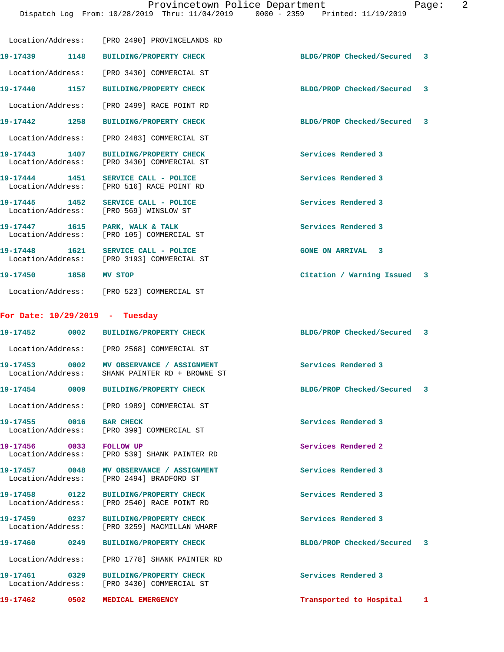Dispatch Log From: 10/28/2019 Thru: 11/04/2019 0000 - 2359 Printed: 11/19/2019

|                                                         | Location/Address: [PRO 2490] PROVINCELANDS RD                                              |                             |  |
|---------------------------------------------------------|--------------------------------------------------------------------------------------------|-----------------------------|--|
| 19-17439 1148                                           | <b>BUILDING/PROPERTY CHECK</b>                                                             | BLDG/PROP Checked/Secured 3 |  |
| Location/Address:                                       | [PRO 3430] COMMERCIAL ST                                                                   |                             |  |
| 19-17440 1157                                           | <b>BUILDING/PROPERTY CHECK</b>                                                             | BLDG/PROP Checked/Secured 3 |  |
|                                                         | Location/Address: [PRO 2499] RACE POINT RD                                                 |                             |  |
| 19-17442 1258                                           | <b>BUILDING/PROPERTY CHECK</b>                                                             | BLDG/PROP Checked/Secured 3 |  |
|                                                         | Location/Address: [PRO 2483] COMMERCIAL ST                                                 |                             |  |
| 19-17443 1407<br>Location/Address:                      | <b>BUILDING/PROPERTY CHECK</b><br>[PRO 3430] COMMERCIAL ST                                 | Services Rendered 3         |  |
| 19-17444 1451                                           | SERVICE CALL - POLICE<br>Location/Address: [PRO 516] RACE POINT RD                         | Services Rendered 3         |  |
| 19-17445 1452<br>Location/Address: [PRO 569] WINSLOW ST | SERVICE CALL - POLICE                                                                      | Services Rendered 3         |  |
|                                                         | 19-17447 1615 PARK, WALK & TALK<br>Location/Address: [PRO 105] COMMERCIAL ST               | Services Rendered 3         |  |
|                                                         | 19-17448 1621 SERVICE CALL - POLICE<br>Location/Address: [PRO 3193] COMMERCIAL ST          | <b>GONE ON ARRIVAL 3</b>    |  |
| 19-17450 1858                                           | MV STOP                                                                                    | Citation / Warning Issued 3 |  |
|                                                         | Location/Address: [PRO 523] COMMERCIAL ST                                                  |                             |  |
| For Date: $10/29/2019$ - Tuesday                        |                                                                                            |                             |  |
|                                                         |                                                                                            | BLDG/PROP Checked/Secured 3 |  |
|                                                         | Location/Address: [PRO 2568] COMMERCIAL ST                                                 |                             |  |
|                                                         | 19-17453 0002 MV OBSERVANCE / ASSIGNMENT<br>Location/Address: SHANK PAINTER RD + BROWNE ST | Services Rendered 3         |  |
|                                                         | 19-17454 0009 BUILDING/PROPERTY CHECK                                                      | BLDG/PROP Checked/Secured 3 |  |
|                                                         | Location/Address: [PRO 1989] COMMERCIAL ST                                                 |                             |  |
| 19-17455 0016                                           | <b>BAR CHECK</b><br>Location/Address: [PRO 399] COMMERCIAL ST                              | Services Rendered 3         |  |
| 19-17456 0033                                           | <b>FOLLOW UP</b><br>Location/Address: [PRO 539] SHANK PAINTER RD                           | Services Rendered 2         |  |
| 19-17457 0048                                           | MV OBSERVANCE / ASSIGNMENT<br>Location/Address: [PRO 2494] BRADFORD ST                     | Services Rendered 3         |  |
| 19-17458 0122                                           | BUILDING/PROPERTY CHECK<br>Location/Address: [PRO 2540] RACE POINT RD                      | Services Rendered 3         |  |
| 19-17459 0237<br>Location/Address:                      | <b>BUILDING/PROPERTY CHECK</b><br>[PRO 3259] MACMILLAN WHARF                               | Services Rendered 3         |  |
| 19-17460 0249                                           | <b>BUILDING/PROPERTY CHECK</b>                                                             | BLDG/PROP Checked/Secured 3 |  |
|                                                         | Location/Address: [PRO 1778] SHANK PAINTER RD                                              |                             |  |
| 19-17461 0329                                           | <b>BUILDING/PROPERTY CHECK</b><br>Location/Address: [PRO 3430] COMMERCIAL ST               | Services Rendered 3         |  |
| 19-17462 0502                                           | MEDICAL EMERGENCY                                                                          | Transported to Hospital 1   |  |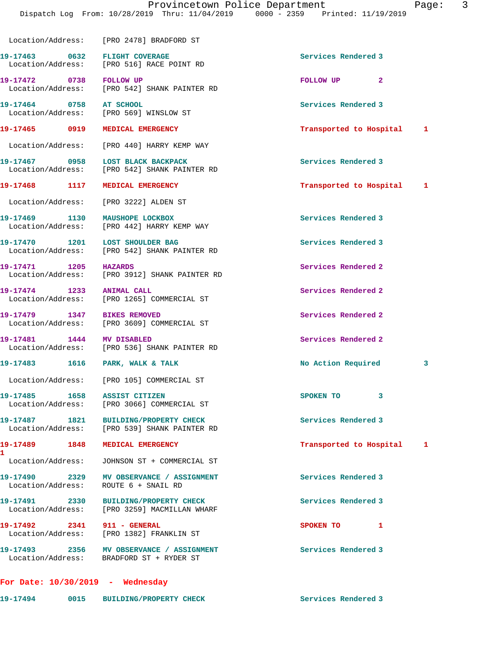Location/Address: [PRO 2478] BRADFORD ST **19-17463 0632 FLIGHT COVERAGE Services Rendered 3**  Location/Address: [PRO 516] RACE POINT RD **19-17472 0738 FOLLOW UP FOLLOW UP 2**  Location/Address: [PRO 542] SHANK PAINTER RD **19-17464 0758 AT SCHOOL Services Rendered 3**  [PRO 569] WINSLOW ST **19-17465 0919 MEDICAL EMERGENCY Transported to Hospital 1** Location/Address: [PRO 440] HARRY KEMP WAY **19-17467 0958 LOST BLACK BACKPACK Services Rendered 3**  Location/Address: [PRO 542] SHANK PAINTER RD **19-17468 1117 MEDICAL EMERGENCY Transported to Hospital 1** Location/Address: [PRO 3222] ALDEN ST **19-17469 1130 MAUSHOPE LOCKBOX Services Rendered 3**  Location/Address: [PRO 442] HARRY KEMP WAY 19-17470 1201 LOST SHOULDER BAG **1986 1201 Services Rendered 3**  Location/Address: [PRO 542] SHANK PAINTER RD **19-17471 1205 HAZARDS Services Rendered 2**  Location/Address: [PRO 3912] SHANK PAINTER RD **19-17474 1233 ANIMAL CALL Services Rendered 2**  Location/Address: [PRO 1265] COMMERCIAL ST **19-17479 1347 BIKES REMOVED Services Rendered 2**  Location/Address: [PRO 3609] COMMERCIAL ST **19-17481** 1444 MV DISABLED **19-17481** Services Rendered 2 **Interval 2** Services Rendered 2 [PRO 536] SHANK PAINTER RD **19-17483 1616 PARK, WALK & TALK No Action Required 3** Location/Address: [PRO 105] COMMERCIAL ST 19-17485 1658 ASSIST CITIZEN **SPOKEN TO** 3 Location/Address: [PRO 3066] COMMERCIAL ST **19-17487 1821 BUILDING/PROPERTY CHECK Services Rendered 3**  Location/Address: [PRO 539] SHANK PAINTER RD **19-17489 1848 MEDICAL EMERGENCY Transported to Hospital 1** Location/Address: JOHNSON ST + COMMERCIAL ST **19-17490 2329 MV OBSERVANCE / ASSIGNMENT Services Rendered 3**  Location/Address: ROUTE 6 + SNAIL RD **19-17491 2330 BUILDING/PROPERTY CHECK Services Rendered 3**  Location/Address: [PRO 3259] MACMILLAN WHARF **19-17492** 2341 911 - GENERAL SPOKEN TO 1 Location/Address: [PRO 1382] FRANKLIN ST **19-17493 2356 MV OBSERVANCE / ASSIGNMENT Services Rendered 3**  Location/Address: BRADFORD ST + RYDER ST

## **For Date: 10/30/2019 - Wednesday**

**1** 

**19-17494 0015 BUILDING/PROPERTY CHECK Services Rendered 3**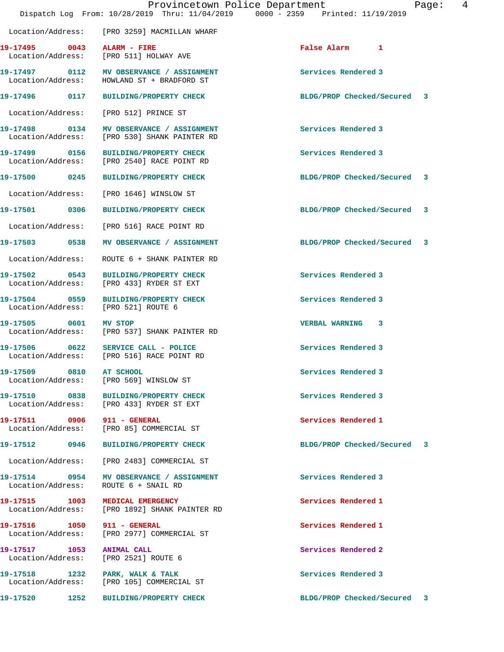|                         | Provincetown Police Department<br>Dispatch Log From: 10/28/2019 Thru: 11/04/2019 0000 - 2359 Printed: 11/19/2019 |                     |                             | Page: | 4 |
|-------------------------|------------------------------------------------------------------------------------------------------------------|---------------------|-----------------------------|-------|---|
|                         | Location/Address: [PRO 3259] MACMILLAN WHARF                                                                     |                     |                             |       |   |
|                         | 19-17495 0043 ALARM - FIRE<br>Location/Address: [PRO 511] HOLWAY AVE                                             | False Alarm 1       |                             |       |   |
|                         | 19-17497 0112 MV OBSERVANCE / ASSIGNMENT<br>Location/Address: HOWLAND ST + BRADFORD ST                           | Services Rendered 3 |                             |       |   |
|                         | 19-17496 0117 BUILDING/PROPERTY CHECK                                                                            |                     | BLDG/PROP Checked/Secured 3 |       |   |
|                         | Location/Address: [PRO 512] PRINCE ST                                                                            |                     |                             |       |   |
|                         | 19-17498 0134 MV OBSERVANCE / ASSIGNMENT<br>Location/Address: [PRO 530] SHANK PAINTER RD                         | Services Rendered 3 |                             |       |   |
|                         | 19-17499 0156 BUILDING/PROPERTY CHECK<br>Location/Address: [PRO 2540] RACE POINT RD                              | Services Rendered 3 |                             |       |   |
|                         | 19-17500 0245 BUILDING/PROPERTY CHECK                                                                            |                     | BLDG/PROP Checked/Secured 3 |       |   |
|                         | Location/Address: [PRO 1646] WINSLOW ST                                                                          |                     |                             |       |   |
|                         | 19-17501 0306 BUILDING/PROPERTY CHECK                                                                            |                     | BLDG/PROP Checked/Secured 3 |       |   |
|                         | Location/Address: [PRO 516] RACE POINT RD                                                                        |                     |                             |       |   |
|                         |                                                                                                                  |                     | BLDG/PROP Checked/Secured 3 |       |   |
| Location/Address:       | ROUTE 6 + SHANK PAINTER RD                                                                                       |                     |                             |       |   |
|                         | 19-17502 0543 BUILDING/PROPERTY CHECK<br>Location/Address: [PRO 433] RYDER ST EXT                                | Services Rendered 3 |                             |       |   |
|                         | 19-17504 0559 BUILDING/PROPERTY CHECK<br>Location/Address: [PRO 521] ROUTE 6                                     | Services Rendered 3 |                             |       |   |
| 19-17505 0601 MV STOP   | Location/Address: [PRO 537] SHANK PAINTER RD                                                                     | VERBAL WARNING 3    |                             |       |   |
|                         | 19-17506 0622 SERVICE CALL - POLICE<br>Location/Address: [PRO 516] RACE POINT RD                                 | Services Rendered 3 |                             |       |   |
| 19-17509 0810 AT SCHOOL | Location/Address: [PRO 569] WINSLOW ST                                                                           | Services Rendered 3 |                             |       |   |
|                         | 19-17510 0838 BUILDING/PROPERTY CHECK<br>Location/Address: [PRO 433] RYDER ST EXT                                | Services Rendered 3 |                             |       |   |
|                         | 19-17511 0906 911 - GENERAL<br>Location/Address: [PRO 85] COMMERCIAL ST                                          | Services Rendered 1 |                             |       |   |
|                         | 19-17512 0946 BUILDING/PROPERTY CHECK                                                                            |                     | BLDG/PROP Checked/Secured 3 |       |   |
|                         | Location/Address: [PRO 2483] COMMERCIAL ST                                                                       |                     |                             |       |   |
|                         | 19-17514 0954 MV OBSERVANCE / ASSIGNMENT<br>Location/Address: ROUTE 6 + SNAIL RD                                 | Services Rendered 3 |                             |       |   |
|                         | 19-17515 1003 MEDICAL EMERGENCY<br>Location/Address: [PRO 1892] SHANK PAINTER RD                                 | Services Rendered 1 |                             |       |   |
|                         | 19-17516 1050 911 - GENERAL<br>Location/Address: [PRO 2977] COMMERCIAL ST                                        | Services Rendered 1 |                             |       |   |
|                         | 19-17517 1053 ANIMAL CALL<br>Location/Address: [PRO 2521] ROUTE 6                                                | Services Rendered 2 |                             |       |   |
|                         | Location/Address: [PRO 105] COMMERCIAL ST                                                                        | Services Rendered 3 |                             |       |   |
|                         | 19-17520 1252 BUILDING/PROPERTY CHECK                                                                            |                     | BLDG/PROP Checked/Secured 3 |       |   |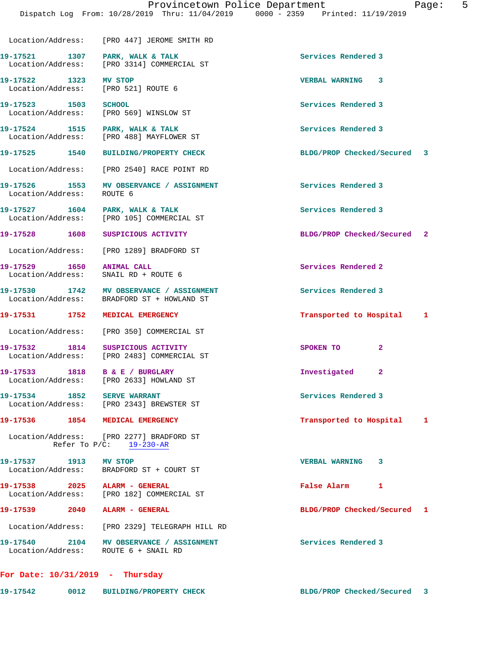Location/Address: [PRO 447] JEROME SMITH RD

19-17521 1307 PARK, WALK & TALK **Services Rendered 3** Location/Address: [PRO 3314] COMMERCIAL ST

**19-17522 1323 MV STOP VERBAL WARNING 3**  Location/Address: [PRO 521] ROUTE 6

**19-17523 1503 SCHOOL Services Rendered 3**  Location/Address: [PRO 569] WINSLOW ST

19-17524 1515 PARK, WALK & TALK 1998 1999 Services Rendered 3 Location/Address: [PRO 488] MAYFLOWER ST

Location/Address: [PRO 2540] RACE POINT RD

**19-17526 1553 MV OBSERVANCE / ASSIGNMENT Services Rendered 3**  Location/Address: ROUTE 6

19-17527 1604 PARK, WALK & TALK **Services Rendered 3** 

Location/Address: [PRO 105] COMMERCIAL ST

Location/Address: [PRO 1289] BRADFORD ST

19-17529 1650 ANIMAL CALL **19-17529** Services Rendered 2 Location/Address: SNAIL RD + ROUTE 6

19-17530 1742 MV OBSERVANCE / ASSIGNMENT **Services Rendered 3** Location/Address: BRADFORD ST + HOWLAND ST

Location/Address: [PRO 350] COMMERCIAL ST

**19-17532 1814 SUSPICIOUS ACTIVITY SPOKEN TO 2**  Location/Address: [PRO 2483] COMMERCIAL ST

**19-17533 1818 B & E / BURGLARY Investigated 2**  Location/Address: [PRO 2633] HOWLAND ST

19-17534 1852 SERVE WARRANT **Services Rendered 3** Location/Address: [PRO 2343] BREWSTER ST

**19-17536 1854 MEDICAL EMERGENCY Transported to Hospital 1**

 Location/Address: [PRO 2277] BRADFORD ST Refer To P/C: 19-230-AR

**19-17537 1913 MV STOP VERBAL WARNING 3**  Location/Address: BRADFORD ST + COURT ST

**19-17538 2025 ALARM - GENERAL False Alarm 1**  Location/Address: [PRO 182] COMMERCIAL ST

**19-17539 2040 ALARM - GENERAL BLDG/PROP Checked/Secured 1**

Location/Address: [PRO 2329] TELEGRAPH HILL RD

19-17540 2104 MV OBSERVANCE / ASSIGNMENT **Services Rendered 3** Location/Address: ROUTE 6 + SNAIL RD

**For Date: 10/31/2019 - Thursday**

**19-17542 0012 BUILDING/PROPERTY CHECK BLDG/PROP Checked/Secured 3**

**19-17525 1540 BUILDING/PROPERTY CHECK BLDG/PROP Checked/Secured 3**

**19-17528 1608 SUSPICIOUS ACTIVITY BLDG/PROP Checked/Secured 2**

**19-17531 1752 MEDICAL EMERGENCY Transported to Hospital 1**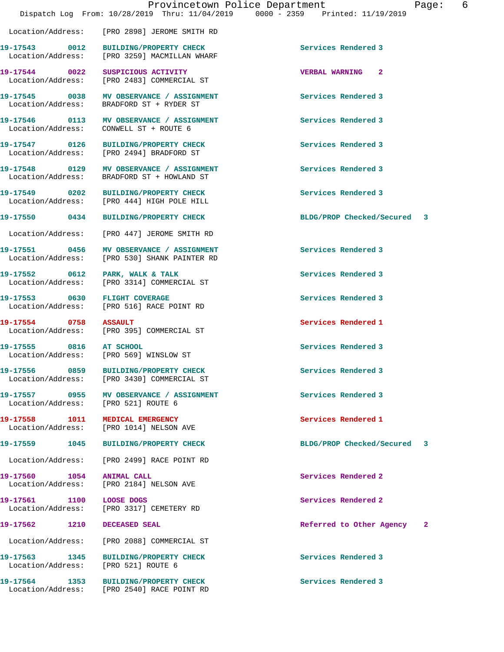Location/Address: [PRO 2898] JEROME SMITH RD

Location/Address: [PRO 3259] MACMILLAN WHARF

Location/Address: [PRO 521] ROUTE 6

**19-17544 0022 SUSPICIOUS ACTIVITY VERBAL WARNING 2**  Location/Address: [PRO 2483] COMMERCIAL ST 19-17545 0038 MV OBSERVANCE / ASSIGNMENT **Services Rendered 3** Location/Address: BRADFORD ST + RYDER ST

**19-17546 0113 MV OBSERVANCE / ASSIGNMENT Services Rendered 3**  Location/Address: CONWELL ST + ROUTE 6

**19-17547 0126 BUILDING/PROPERTY CHECK Services Rendered 3**  Location/Address: [PRO 2494] BRADFORD ST

**19-17548 0129 MV OBSERVANCE / ASSIGNMENT Services Rendered 3**  Location/Address: BRADFORD ST + HOWLAND ST

**19-17549 0202 BUILDING/PROPERTY CHECK Services Rendered 3**  Location/Address: [PRO 444] HIGH POLE HILL

Location/Address: [PRO 447] JEROME SMITH RD

**19-17551 0456 MV OBSERVANCE / ASSIGNMENT Services Rendered 3**  Location/Address: [PRO 530] SHANK PAINTER RD

19-17552 0612 PARK, WALK & TALK **Services Rendered 3** Location/Address: [PRO 3314] COMMERCIAL ST

**19-17553 0630 FLIGHT COVERAGE Services Rendered 3**  Location/Address: [PRO 516] RACE POINT RD

**19-17554 0758 ASSAULT Services Rendered 1**  Location/Address: [PRO 395] COMMERCIAL ST

Location/Address: [PRO 569] WINSLOW ST

**19-17556 0859 BUILDING/PROPERTY CHECK Services Rendered 3**  Location/Address: [PRO 3430] COMMERCIAL ST

19-17557 **1955 MV OBSERVANCE / ASSIGNMENT** Services Rendered 3

**19-17558 1011 MEDICAL EMERGENCY Services Rendered 1**  Location/Address: [PRO 1014] NELSON AVE

Location/Address: [PRO 2499] RACE POINT RD

**19-17560 1054 ANIMAL CALL Services Rendered 2**  Location/Address: [PRO 2184] NELSON AVE

**19-17561 1100 LOOSE DOGS Services Rendered 2**  Location/Address: [PRO 3317] CEMETERY RD

Location/Address: [PRO 2088] COMMERCIAL ST

**19-17563 1345 BUILDING/PROPERTY CHECK Services Rendered 3**  Location/Address: [PRO 521] ROUTE 6

**19-17564 1353 BUILDING/PROPERTY CHECK Services Rendered 3**  Location/Address: [PRO 2540] RACE POINT RD

**19-17543 0012 BUILDING/PROPERTY CHECK Services Rendered 3** 

**19-17550 0434 BUILDING/PROPERTY CHECK BLDG/PROP Checked/Secured 3**

**19-17555 0816 AT SCHOOL Services Rendered 3** 

**19-17559 1045 BUILDING/PROPERTY CHECK BLDG/PROP Checked/Secured 3**

**19-17562 1210 DECEASED SEAL Referred to Other Agency 2**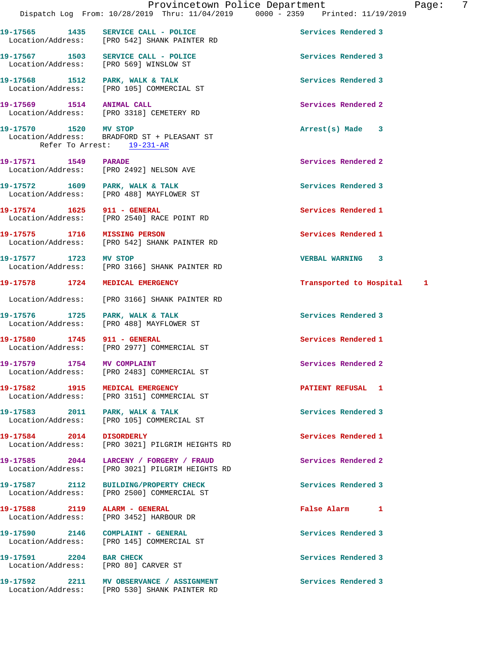|                                    |      | Provincetown Police Department                                                      |                           | -7<br>Page: |
|------------------------------------|------|-------------------------------------------------------------------------------------|---------------------------|-------------|
|                                    |      | Dispatch Log From: 10/28/2019 Thru: 11/04/2019 0000 - 2359 Printed: 11/19/2019      |                           |             |
|                                    |      | 19-17565 1435 SERVICE CALL - POLICE<br>Location/Address: [PRO 542] SHANK PAINTER RD | Services Rendered 3       |             |
|                                    |      | 19-17567 1503 SERVICE CALL - POLICE<br>Location/Address: [PRO 569] WINSLOW ST       | Services Rendered 3       |             |
|                                    |      | 19-17568 1512 PARK, WALK & TALK<br>Location/Address: [PRO 105] COMMERCIAL ST        | Services Rendered 3       |             |
| 19-17569 1514 ANIMAL CALL          |      | Location/Address: [PRO 3318] CEMETERY RD                                            | Services Rendered 2       |             |
| 19-17570 1520 MV STOP              |      | Location/Address: BRADFORD ST + PLEASANT ST<br>Refer To Arrest: 19-231-AR           | $Arrest(s)$ Made $3$      |             |
| 19-17571 1549 PARADE               |      | Location/Address: [PRO 2492] NELSON AVE                                             | Services Rendered 2       |             |
|                                    |      | 19-17572 1609 PARK, WALK & TALK<br>Location/Address: [PRO 488] MAYFLOWER ST         | Services Rendered 3       |             |
| 19-17574 1625 911 - GENERAL        |      | Location/Address: [PRO 2540] RACE POINT RD                                          | Services Rendered 1       |             |
|                                    |      | 19-17575 1716 MISSING PERSON<br>Location/Address: [PRO 542] SHANK PAINTER RD        | Services Rendered 1       |             |
|                                    |      | 19-17577 1723 MV STOP<br>Location/Address: [PRO 3166] SHANK PAINTER RD              | VERBAL WARNING 3          |             |
|                                    |      | 19-17578 1724 MEDICAL EMERGENCY                                                     | Transported to Hospital 1 |             |
|                                    |      | Location/Address: [PRO 3166] SHANK PAINTER RD                                       |                           |             |
|                                    |      | 19-17576 1725 PARK, WALK & TALK<br>Location/Address: [PRO 488] MAYFLOWER ST         | Services Rendered 3       |             |
| 19-17580 1745 911 - GENERAL        |      | Location/Address: [PRO 2977] COMMERCIAL ST                                          | Services Rendered 1       |             |
| 19-17579<br>Location/Address:      | 1754 | MV COMPLAINT<br>[PRO 2483] COMMERCIAL ST                                            | Services Rendered 2       |             |
|                                    |      | 19-17582 1915 MEDICAL EMERGENCY<br>Location/Address: [PRO 3151] COMMERCIAL ST       | PATIENT REFUSAL 1         |             |
| 19-17583 2011<br>Location/Address: |      | PARK, WALK & TALK<br>[PRO 105] COMMERCIAL ST                                        | Services Rendered 3       |             |
| 19-17584 2014                      |      | <b>DISORDERLY</b><br>Location/Address: [PRO 3021] PILGRIM HEIGHTS RD                | Services Rendered 1       |             |
| 19-17585 2044<br>Location/Address: |      | LARCENY / FORGERY / FRAUD<br>[PRO 3021] PILGRIM HEIGHTS RD                          | Services Rendered 2       |             |
| 19-17587 2112                      |      | <b>BUILDING/PROPERTY CHECK</b><br>Location/Address: [PRO 2500] COMMERCIAL ST        | Services Rendered 3       |             |
| 19-17588 2119<br>Location/Address: |      | ALARM - GENERAL<br>[PRO 3452] HARBOUR DR                                            | False Alarm 1             |             |
| 19-17590 2146                      |      | COMPLAINT - GENERAL<br>Location/Address: [PRO 145] COMMERCIAL ST                    | Services Rendered 3       |             |
| 19-17591 2204                      |      | <b>BAR CHECK</b><br>Location/Address: [PRO 80] CARVER ST                            | Services Rendered 3       |             |

19-17592 2211 MV OBSERVANCE / ASSIGNMENT **Services Rendered 3** 

Location/Address: [PRO 530] SHANK PAINTER RD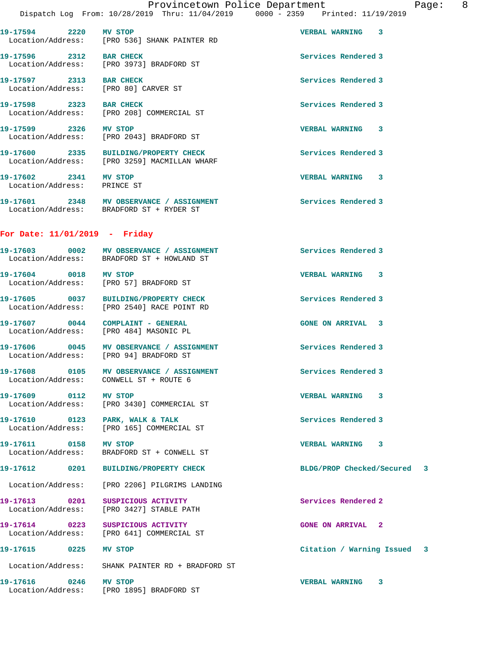**19-17594 2220 MV STOP VERBAL WARNING 3**  Location/Address: [PRO 536] SHANK PAINTER RD 19-17596 2312 BAR CHECK **Services Rendered 3** Location/Address: [PRO 3973] BRADFORD ST

**19-17597 2313 BAR CHECK Services Rendered 3**  Location/Address: [PRO 80] CARVER ST

19-17598 2323 BAR CHECK 3 Location/Address: [PRO 208] COMMERCIAL ST

**19-17599 2326 MV STOP VERBAL WARNING 3**  Location/Address: [PRO 2043] BRADFORD ST

**19-17600 2335 BUILDING/PROPERTY CHECK Services Rendered 3**  Location/Address: [PRO 3259] MACMILLAN WHARF

Location/Address: PRINCE ST

**19-17601 2348 MV OBSERVANCE / ASSIGNMENT Services Rendered 3**  Location/Address: BRADFORD ST + RYDER ST

## **For Date: 11/01/2019 - Friday**

| 19-17603                      | 0002 | MV OBSERVANCE / ASSIGNMENT                                 | Services Rendered 3        |
|-------------------------------|------|------------------------------------------------------------|----------------------------|
| Location/Address:             |      | BRADFORD ST + HOWLAND ST                                   |                            |
| 19-17604<br>Location/Address: | 0018 | MV STOP<br>[PRO 57] BRADFORD ST                            | <b>VERBAL WARNING</b><br>3 |
| 19-17605<br>Location/Address: | 0037 | <b>BUILDING/PROPERTY CHECK</b><br>FPRO 25401 RACE POINT RD | Services Rendered 3        |

**19-17607 0044 COMPLAINT - GENERAL GONE ON ARRIVAL 3**  Location/Address: [PRO 484] MASONIC PL

19-17606 0045 MV OBSERVANCE / ASSIGNMENT **Services Rendered 3** Location/Address: [PRO 94] BRADFORD ST

**19-17608 0105 MV OBSERVANCE / ASSIGNMENT Services Rendered 3**  Location/Address: CONWELL ST + ROUTE 6

**19-17609 0112 MV STOP VERBAL WARNING 3**  Location/Address: [PRO 3430] COMMERCIAL ST

19-17610 **0123** PARK, WALK & TALK **Services Rendered 3** Location/Address: [PRO 165] COMMERCIAL ST

**19-17611 0158 MV STOP VERBAL WARNING 3**  Location/Address: BRADFORD ST + CONWELL ST

**19-17612 0201 BUILDING/PROPERTY CHECK BLDG/PROP Checked/Secured 3**

Location/Address: [PRO 2206] PILGRIMS LANDING

**19-17613 0201 SUSPICIOUS ACTIVITY Services Rendered 2**  Location/Address: [PRO 3427] STABLE PATH

19-17614 0223 SUSPICIOUS ACTIVITY **CONE ON ARRIVAL** 2 Location/Address: [PRO 641] COMMERCIAL ST

Location/Address: SHANK PAINTER RD + BRADFORD ST

**19-17616 0246 MV STOP VERBAL WARNING 3**  Location/Address: [PRO 1895] BRADFORD ST

**19-17602 2341 MV STOP VERBAL WARNING 3** 

**19-17615 0225 MV STOP Citation / Warning Issued 3**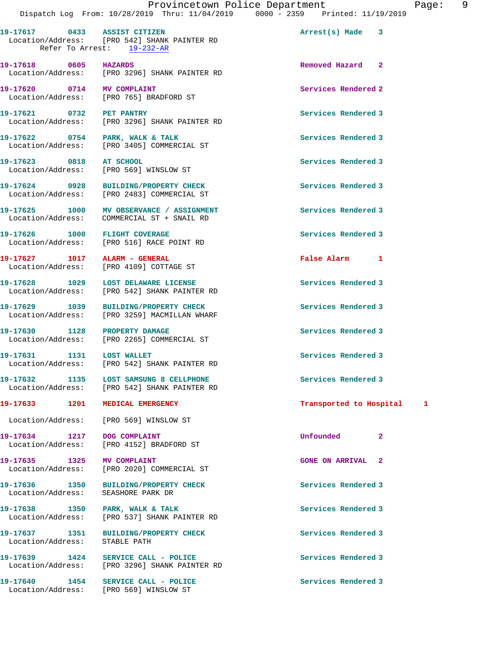**19-17617 0433 ASSIST CITIZEN Arrest(s) Made 3**  Location/Address: [PRO 542] SHANK PAINTER RD Refer To Arrest: 19-232-AR

**19-17618 0605 HAZARDS Removed Hazard 2**  Location/Address: [PRO 3296] SHANK PAINTER RD

**19-17620 0714 MV COMPLAINT Services Rendered 2**  Location/Address: [PRO 765] BRADFORD ST

**19-17627 1017 ALARM - GENERAL False Alarm 1** 

Location/Address: SEASHORE PARK DR

Location/Address: STABLE PATH

**19-17621 0732 PET PANTRY Services Rendered 3**  Location/Address: [PRO 3296] SHANK PAINTER RD

**19-17622 0754 PARK, WALK & TALK Services Rendered 3**  Location/Address: [PRO 3405] COMMERCIAL ST

19-17623 0818 AT SCHOOL **Services Rendered 3** Location/Address: [PRO 569] WINSLOW ST

**19-17624 0928 BUILDING/PROPERTY CHECK Services Rendered 3**  Location/Address: [PRO 2483] COMMERCIAL ST

**19-17625 1000 MV OBSERVANCE / ASSIGNMENT Services Rendered 3**  Location/Address: COMMERCIAL ST + SNAIL RD

**19-17626 1000 FLIGHT COVERAGE Services Rendered 3**  Location/Address: [PRO 516] RACE POINT RD

Location/Address: [PRO 4109] COTTAGE ST

**19-17628 1029 LOST DELAWARE LICENSE Services Rendered 3**  Location/Address: [PRO 542] SHANK PAINTER RD

**19-17629 1039 BUILDING/PROPERTY CHECK Services Rendered 3**  Location/Address: [PRO 3259] MACMILLAN WHARF

**19-17630 1128 PROPERTY DAMAGE Services Rendered 3**  Location/Address: [PRO 2265] COMMERCIAL ST

19-17631 1131 LOST WALLET **1120 Services Rendered 3** Location/Address: [PRO 542] SHANK PAINTER RD

**19-17632 1135 LOST SAMSUNG 8 CELLPHONE Services Rendered 3**  Location/Address: [PRO 542] SHANK PAINTER RD

Location/Address: [PRO 569] WINSLOW ST

**19-17634 1217 DOG COMPLAINT Unfounded 2**  Location/Address: [PRO 4152] BRADFORD ST

**19-17635 1325 MV COMPLAINT 19-17635 GONE ON ARRIVAL 2**<br>
Location/Address: [PRO 2020] COMMERCIAL ST [PRO 2020] COMMERCIAL ST

**19-17636 1350 BUILDING/PROPERTY CHECK Services Rendered 3** 

19-17638 1350 PARK, WALK & TALK **Services Rendered 3** Location/Address: [PRO 537] SHANK PAINTER RD

**19-17637 1351 BUILDING/PROPERTY CHECK Services Rendered 3** 

**19-17639 1424 SERVICE CALL - POLICE Services Rendered 3**  Location/Address: [PRO 3296] SHANK PAINTER RD

19-17640 1454 SERVICE CALL - POLICE **Services Rendered 3** Location/Address: [PRO 569] WINSLOW ST

**19-17633 1201 MEDICAL EMERGENCY Transported to Hospital 1**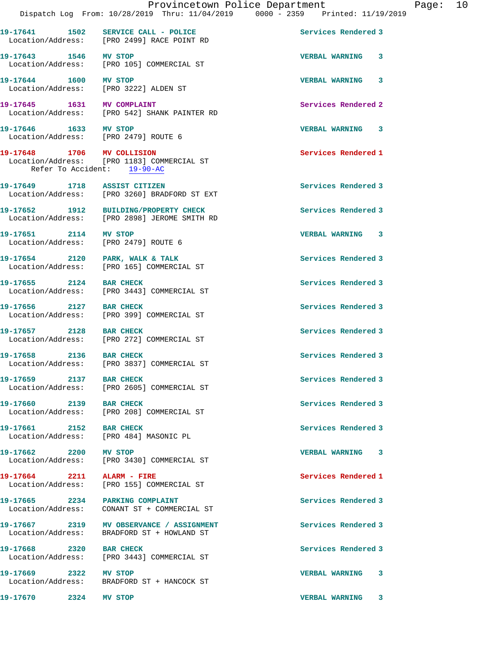**19-17641 1502 SERVICE CALL - POLICE Services Rendered 3**  Location/Address: [PRO 2499] RACE POINT RD **19-17643 1546 MV STOP VERBAL WARNING 3**  Location/Address: [PRO 105] COMMERCIAL ST **19-17644 1600 MV STOP VERBAL WARNING 3**  Location/Address: [PRO 3222] ALDEN ST **19-17645 1631 MV COMPLAINT Services Rendered 2**  Location/Address: [PRO 542] SHANK PAINTER RD **19-17646 1633 MV STOP VERBAL WARNING 3**  Location/Address: [PRO 2479] ROUTE 6 **19-17648 1706 MV COLLISION Services Rendered 1**  Location/Address: [PRO 1183] COMMERCIAL ST Refer To Accident: 19-90-AC **19-17649 1718 ASSIST CITIZEN Services Rendered 3**  Location/Address: [PRO 3260] BRADFORD ST EXT **19-17652 1912 BUILDING/PROPERTY CHECK Services Rendered 3**  Location/Address: [PRO 2898] JEROME SMITH RD **19-17651 2114 MV STOP VERBAL WARNING 3**  Location/Address: [PRO 2479] ROUTE 6 19-17654 2120 PARK, WALK & TALK **Services Rendered 3**  Location/Address: [PRO 165] COMMERCIAL ST 19-17655 2124 BAR CHECK Services Rendered 3 Location/Address: [PRO 3443] COMMERCIAL ST **19-17656 2127 BAR CHECK Services Rendered 3**  Location/Address: [PRO 399] COMMERCIAL ST **19-17657 2128 BAR CHECK Services Rendered 3**  Location/Address: [PRO 272] COMMERCIAL ST **19-17658 2136 BAR CHECK Services Rendered 3**  Location/Address: [PRO 3837] COMMERCIAL ST **19-17659 2137 BAR CHECK Services Rendered 3**  Location/Address: [PRO 2605] COMMERCIAL ST 19-17660 2139 BAR CHECK **Services Rendered 3**  Location/Address: [PRO 208] COMMERCIAL ST **19-17661 2152 BAR CHECK Services Rendered 3**  Location/Address: [PRO 484] MASONIC PL **19-17662 2200 MV STOP VERBAL WARNING 3**  [PRO 3430] COMMERCIAL ST **19-17664 2211 ALARM - FIRE Services Rendered 1**  Location/Address: [PRO 155] COMMERCIAL ST 19-17665 2234 PARKING COMPLAINT **Services Rendered 3**  Location/Address: CONANT ST + COMMERCIAL ST **19-17667 2319 MV OBSERVANCE / ASSIGNMENT Services Rendered 3**  Location/Address: BRADFORD ST + HOWLAND ST **19-17668 2320 BAR CHECK Services Rendered 3**  Location/Address: [PRO 3443] COMMERCIAL ST **19-17669 2322 MV STOP VERBAL WARNING 3**  BRADFORD ST + HANCOCK ST **19-17670 2324 MV STOP VERBAL WARNING 3**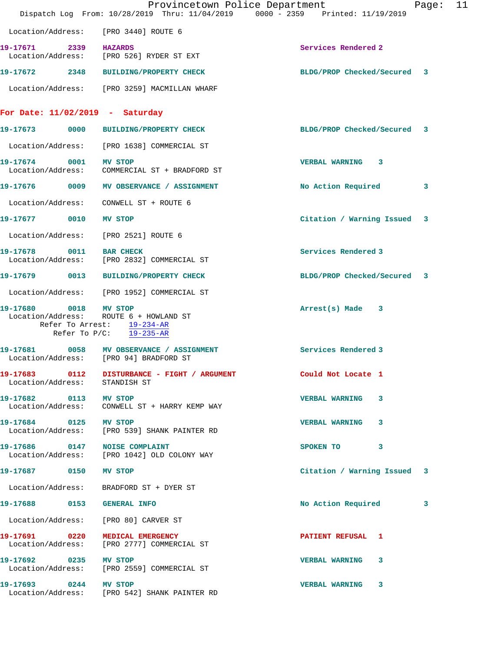|                                        | Provincetown Police Department<br>Dispatch Log From: 10/28/2019 Thru: 11/04/2019 0000 - 2359 Printed: 11/19/2019 |                              | Page: 11 |  |
|----------------------------------------|------------------------------------------------------------------------------------------------------------------|------------------------------|----------|--|
| Location/Address: [PRO 3440] ROUTE 6   |                                                                                                                  |                              |          |  |
| 19-17671 2339 HAZARDS                  | Location/Address: [PRO 526] RYDER ST EXT                                                                         | Services Rendered 2          |          |  |
|                                        | 19-17672 2348 BUILDING/PROPERTY CHECK                                                                            | BLDG/PROP Checked/Secured 3  |          |  |
|                                        | Location/Address: [PRO 3259] MACMILLAN WHARF                                                                     |                              |          |  |
| For Date: $11/02/2019$ - Saturday      |                                                                                                                  |                              |          |  |
|                                        | 19-17673 0000 BUILDING/PROPERTY CHECK                                                                            | BLDG/PROP Checked/Secured 3  |          |  |
|                                        | Location/Address: [PRO 1638] COMMERCIAL ST                                                                       |                              |          |  |
| 19-17674 0001 MV STOP                  | Location/Address: COMMERCIAL ST + BRADFORD ST                                                                    | <b>VERBAL WARNING 3</b>      |          |  |
|                                        | 19-17676 0009 MV OBSERVANCE / ASSIGNMENT                                                                         | No Action Required           | 3        |  |
| Location/Address: CONWELL ST + ROUTE 6 |                                                                                                                  |                              |          |  |
| 19-17677 0010                          | <b>MV STOP</b>                                                                                                   | Citation / Warning Issued 3  |          |  |
| Location/Address: [PRO 2521] ROUTE 6   |                                                                                                                  |                              |          |  |
| 19-17678 0011                          | <b>BAR CHECK</b><br>Location/Address: [PRO 2832] COMMERCIAL ST                                                   | Services Rendered 3          |          |  |
|                                        | 19-17679 0013 BUILDING/PROPERTY CHECK                                                                            | BLDG/PROP Checked/Secured 3  |          |  |
|                                        | Location/Address: [PRO 1952] COMMERCIAL ST                                                                       |                              |          |  |
| 19-17680 0018 MV STOP                  | Location/Address: ROUTE 6 + HOWLAND ST<br>Refer To Arrest: 19-234-AR<br>Refer To $P/C$ : 19-235-AR               | Arrest(s) Made 3             |          |  |
|                                        | 19-17681 0058 MV OBSERVANCE / ASSIGNMENT<br>Location/Address: [PRO 94] BRADFORD ST                               | Services Rendered 3          |          |  |
| 19-17683 0112<br>Location/Address:     | DISTURBANCE - FIGHT / ARGUMENT<br>STANDISH ST                                                                    | Could Not Locate 1           |          |  |
| 19-17682 0113 MV STOP                  | Location/Address: CONWELL ST + HARRY KEMP WAY                                                                    | <b>VERBAL WARNING</b><br>3   |          |  |
| 19-17684 0125 MV STOP                  | Location/Address: [PRO 539] SHANK PAINTER RD                                                                     | <b>VERBAL WARNING</b><br>3   |          |  |
| 19-17686 0147 NOISE COMPLAINT          | Location/Address: [PRO 1042] OLD COLONY WAY                                                                      | SPOKEN TO<br>3               |          |  |
| 19-17687 0150                          | <b>MV STOP</b>                                                                                                   | Citation / Warning Issued 3  |          |  |
|                                        | Location/Address: BRADFORD ST + DYER ST                                                                          |                              |          |  |
| 19-17688 0153 GENERAL INFO             |                                                                                                                  | No Action Required           | 3        |  |
| Location/Address: [PRO 80] CARVER ST   |                                                                                                                  |                              |          |  |
| 19-17691 0220<br>Location/Address:     | MEDICAL EMERGENCY<br>[PRO 2777] COMMERCIAL ST                                                                    | <b>PATIENT REFUSAL 1</b>     |          |  |
| 19-17692 0235 MV STOP                  | Location/Address: [PRO 2559] COMMERCIAL ST                                                                       | <b>VERBAL WARNING</b><br>-3. |          |  |
| 19-17693 0244 MV STOP                  | Location/Address: [PRO 542] SHANK PAINTER RD                                                                     | VERBAL WARNING 3             |          |  |
|                                        |                                                                                                                  |                              |          |  |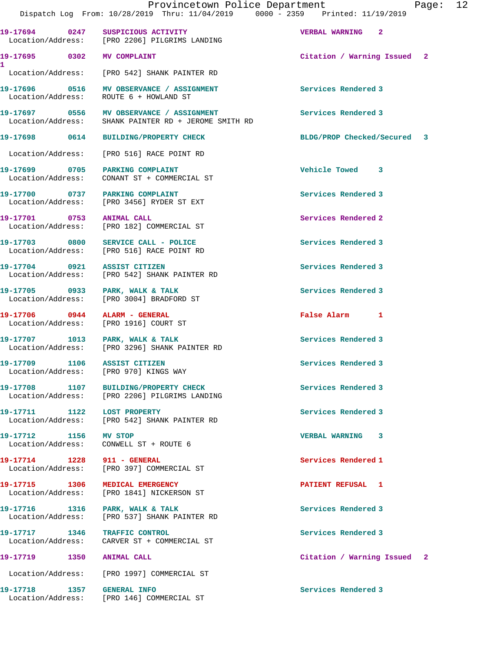|                                            | Provincetown Police Department<br>Dispatch Log From: 10/28/2019 Thru: 11/04/2019 0000 - 2359 Printed: 11/19/2019 | Page: 12                    |
|--------------------------------------------|------------------------------------------------------------------------------------------------------------------|-----------------------------|
|                                            | 19-17694 0247 SUSPICIOUS ACTIVITY<br>Location/Address: [PRO 2206] PILGRIMS LANDING                               | VERBAL WARNING 2            |
| 19-17695 0302 MV COMPLAINT                 |                                                                                                                  | Citation / Warning Issued 2 |
|                                            | Location/Address: [PRO 542] SHANK PAINTER RD                                                                     |                             |
|                                            | 19-17696 0516 MV OBSERVANCE / ASSIGNMENT<br>Location/Address: ROUTE 6 + HOWLAND ST                               | Services Rendered 3         |
|                                            | 19-17697 0556 MV OBSERVANCE / ASSIGNMENT<br>Location/Address: SHANK PAINTER RD + JEROME SMITH RD                 | Services Rendered 3         |
|                                            | 19-17698 0614 BUILDING/PROPERTY CHECK                                                                            | BLDG/PROP Checked/Secured 3 |
|                                            | Location/Address: [PRO 516] RACE POINT RD                                                                        |                             |
|                                            | 19-17699 0705 PARKING COMPLAINT<br>Location/Address: CONANT ST + COMMERCIAL ST                                   | Vehicle Towed 3             |
|                                            | 19-17700 0737 PARKING COMPLAINT<br>Location/Address: [PRO 3456] RYDER ST EXT                                     | Services Rendered 3         |
| 19-17701 0753 ANIMAL CALL                  | Location/Address: [PRO 182] COMMERCIAL ST                                                                        | Services Rendered 2         |
|                                            | 19-17703 0800 SERVICE CALL - POLICE<br>Location/Address: [PRO 516] RACE POINT RD                                 | Services Rendered 3         |
| 19-17704 0921 ASSIST CITIZEN               | Location/Address: [PRO 542] SHANK PAINTER RD                                                                     | Services Rendered 3         |
|                                            | 19-17705 0933 PARK, WALK & TALK<br>Location/Address: [PRO 3004] BRADFORD ST                                      | Services Rendered 3         |
| 19-17706 0944 ALARM - GENERAL              | Location/Address: [PRO 1916] COURT ST                                                                            | False Alarm 1               |
|                                            | 19-17707 1013 PARK, WALK & TALK<br>Location/Address: [PRO 3296] SHANK PAINTER RD                                 | Services Rendered 3         |
| 19-17709 1106 ASSIST CITIZEN               | Location/Address: [PRO 970] KINGS WAY                                                                            | Services Rendered 3         |
|                                            | 19-17708 1107 BUILDING/PROPERTY CHECK<br>Location/Address: [PRO 2206] PILGRIMS LANDING                           | Services Rendered 3         |
| 19-17711 1122 LOST PROPERTY                | Location/Address: [PRO 542] SHANK PAINTER RD                                                                     | Services Rendered 3         |
| 19-17712 1156 MV STOP<br>Location/Address: | CONWELL ST + ROUTE 6                                                                                             | VERBAL WARNING 3            |
| 19-17714 1228 911 - GENERAL                | Location/Address: [PRO 397] COMMERCIAL ST                                                                        | Services Rendered 1         |
| 19-17715 1306<br>Location/Address:         | <b>MEDICAL EMERGENCY</b><br>[PRO 1841] NICKERSON ST                                                              | <b>PATIENT REFUSAL 1</b>    |
| Location/Address:                          | 19-17716 1316 PARK, WALK & TALK<br>[PRO 537] SHANK PAINTER RD                                                    | Services Rendered 3         |
| 19-17717 1346 TRAFFIC CONTROL              | Location/Address: CARVER ST + COMMERCIAL ST                                                                      | Services Rendered 3         |
| 19-17719        1350     ANIMAL CALL       |                                                                                                                  | Citation / Warning Issued 2 |

Location/Address: [PRO 1997] COMMERCIAL ST

**19-17718 1357 GENERAL INFO Services Rendered 3** 

Location/Address: [PRO 146] COMMERCIAL ST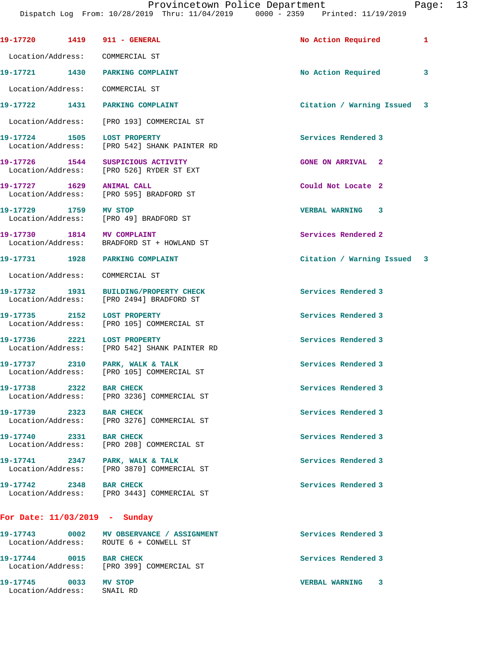|                         |      | 19-17720 1419 911 - GENERAL                                                        | No Action Required          | 1 |
|-------------------------|------|------------------------------------------------------------------------------------|-----------------------------|---|
|                         |      | Location/Address: COMMERCIAL ST                                                    |                             |   |
|                         |      | 19-17721 1430 PARKING COMPLAINT                                                    | No Action Required          | 3 |
|                         |      | Location/Address: COMMERCIAL ST                                                    |                             |   |
|                         |      | 19-17722 1431 PARKING COMPLAINT                                                    | Citation / Warning Issued 3 |   |
|                         |      | Location/Address: [PRO 193] COMMERCIAL ST                                          |                             |   |
|                         |      | 19-17724 1505 LOST PROPERTY<br>Location/Address: [PRO 542] SHANK PAINTER RD        | Services Rendered 3         |   |
|                         |      | 19-17726 1544 SUSPICIOUS ACTIVITY<br>Location/Address: [PRO 526] RYDER ST EXT      | <b>GONE ON ARRIVAL 2</b>    |   |
| 19-17727 1629           |      | <b>ANIMAL CALL</b><br>Location/Address: [PRO 595] BRADFORD ST                      | Could Not Locate 2          |   |
| 19-17729 1759 MV STOP   |      | Location/Address: [PRO 49] BRADFORD ST                                             | <b>VERBAL WARNING 3</b>     |   |
|                         |      | 19-17730 1814 MV COMPLAINT<br>Location/Address: BRADFORD ST + HOWLAND ST           | Services Rendered 2         |   |
|                         |      | 19-17731 1928 PARKING COMPLAINT                                                    | Citation / Warning Issued 3 |   |
|                         |      | Location/Address: COMMERCIAL ST                                                    |                             |   |
|                         |      | 19-17732 1931 BUILDING/PROPERTY CHECK<br>Location/Address: [PRO 2494] BRADFORD ST  | Services Rendered 3         |   |
|                         |      | 19-17735 2152 LOST PROPERTY<br>Location/Address: [PRO 105] COMMERCIAL ST           | Services Rendered 3         |   |
|                         |      | 19-17736 2221 LOST PROPERTY<br>Location/Address: [PRO 542] SHANK PAINTER RD        | Services Rendered 3         |   |
|                         |      | 19-17737 2310 PARK, WALK & TALK<br>Location/Address: [PRO 105] COMMERCIAL ST       | Services Rendered 3         |   |
| 19-17738                | 2322 | <b>BAR CHECK</b><br>Location/Address: [PRO 3236] COMMERCIAL ST                     | Services Rendered 3         |   |
| 19-17739 2323           |      | <b>BAR CHECK</b><br>Location/Address: [PRO 3276] COMMERCIAL ST                     | Services Rendered 3         |   |
| 19-17740 2331 BAR CHECK |      | Location/Address: [PRO 208] COMMERCIAL ST                                          | Services Rendered 3         |   |
|                         |      | 19-17741 2347 PARK, WALK & TALK<br>Location/Address: [PRO 3870] COMMERCIAL ST      | Services Rendered 3         |   |
| 19-17742 2348 BAR CHECK |      | Location/Address: [PRO 3443] COMMERCIAL ST                                         | Services Rendered 3         |   |
|                         |      | For Date: $11/03/2019$ - Sunday                                                    |                             |   |
|                         |      | 19-17743 0002 MV OBSERVANCE / ASSIGNMENT<br>Location/Address: ROUTE 6 + CONWELL ST | Services Rendered 3         |   |
| 19-17744 0015 BAR CHECK |      | Location/Address: [PRO 399] COMMERCIAL ST                                          | Services Rendered 3         |   |

**19-17745 0033 MV STOP VERBAL WARNING 3**  Location/Address: SNAIL RD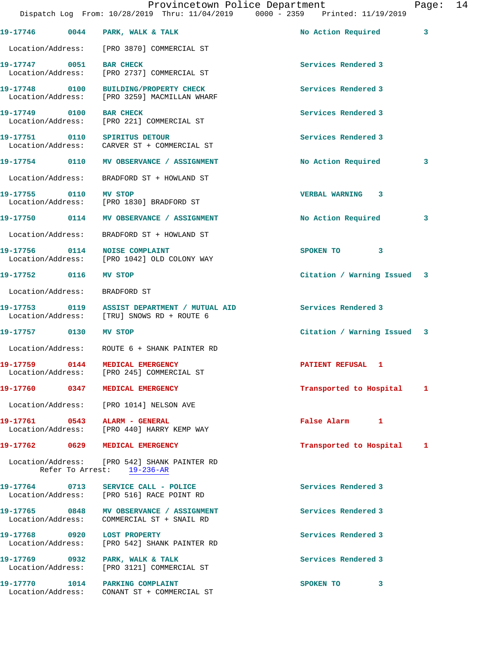|                                              |                                                                                        | Provincetown Police Department<br>Dispatch Log From: 10/28/2019 Thru: 11/04/2019 0000 - 2359 Printed: 11/19/2019 | Page: | 14 |
|----------------------------------------------|----------------------------------------------------------------------------------------|------------------------------------------------------------------------------------------------------------------|-------|----|
|                                              |                                                                                        |                                                                                                                  |       |    |
|                                              | $19-17746$ 0044 PARK, WALK & TALK                                                      | No Action Required                                                                                               | 3     |    |
|                                              | Location/Address: [PRO 3870] COMMERCIAL ST                                             |                                                                                                                  |       |    |
| 19-17747 0051 BAR CHECK                      | Location/Address: [PRO 2737] COMMERCIAL ST                                             | Services Rendered 3                                                                                              |       |    |
|                                              | 19-17748 0100 BUILDING/PROPERTY CHECK<br>Location/Address: [PRO 3259] MACMILLAN WHARF  | Services Rendered 3                                                                                              |       |    |
| 19-17749 0100 BAR CHECK<br>Location/Address: | [PRO 221] COMMERCIAL ST                                                                | Services Rendered 3                                                                                              |       |    |
|                                              | 19-17751 0110 SPIRITUS DETOUR<br>Location/Address: CARVER ST + COMMERCIAL ST           | Services Rendered 3                                                                                              |       |    |
|                                              | 19-17754 0110 MV OBSERVANCE / ASSIGNMENT                                               | No Action Required                                                                                               | 3     |    |
|                                              | Location/Address: BRADFORD ST + HOWLAND ST                                             |                                                                                                                  |       |    |
| 19-17755 0110 MV STOP                        | Location/Address: [PRO 1830] BRADFORD ST                                               | <b>VERBAL WARNING 3</b>                                                                                          |       |    |
|                                              | 19-17750 0114 MV OBSERVANCE / ASSIGNMENT                                               | No Action Required                                                                                               | 3     |    |
|                                              | Location/Address: BRADFORD ST + HOWLAND ST                                             |                                                                                                                  |       |    |
|                                              | 19-17756 0114 NOISE COMPLAINT<br>Location/Address: [PRO 1042] OLD COLONY WAY           | SPOKEN TO 3                                                                                                      |       |    |
| 19-17752 0116 MV STOP                        |                                                                                        | Citation / Warning Issued 3                                                                                      |       |    |
| Location/Address:                            | BRADFORD ST                                                                            |                                                                                                                  |       |    |
|                                              |                                                                                        | Services Rendered 3                                                                                              |       |    |
| 19-17757 0130                                | <b>MV STOP</b>                                                                         | Citation / Warning Issued 3                                                                                      |       |    |
|                                              | Location/Address: ROUTE 6 + SHANK PAINTER RD                                           |                                                                                                                  |       |    |
|                                              | 19-17759 0144 MEDICAL EMERGENCY<br>Location/Address: [PRO 245] COMMERCIAL ST           | PATIENT REFUSAL 1                                                                                                |       |    |
|                                              | 19-17760 0347 MEDICAL EMERGENCY                                                        | Transported to Hospital 1                                                                                        |       |    |
|                                              | Location/Address: [PRO 1014] NELSON AVE                                                |                                                                                                                  |       |    |
|                                              | 19-17761 0543 ALARM - GENERAL<br>Location/Address: [PRO 440] HARRY KEMP WAY            | False Alarm 1                                                                                                    |       |    |
|                                              | 19-17762 0629 MEDICAL EMERGENCY                                                        | Transported to Hospital 1                                                                                        |       |    |
|                                              | Location/Address: [PRO 542] SHANK PAINTER RD<br>Refer To Arrest: 19-236-AR             |                                                                                                                  |       |    |
|                                              | 19-17764 0713 SERVICE CALL - POLICE<br>Location/Address: [PRO 516] RACE POINT RD       | Services Rendered 3                                                                                              |       |    |
|                                              | 19-17765 0848 MV OBSERVANCE / ASSIGNMENT<br>Location/Address: COMMERCIAL ST + SNAIL RD | Services Rendered 3                                                                                              |       |    |
|                                              | 19-17768 0920 LOST PROPERTY<br>Location/Address: [PRO 542] SHANK PAINTER RD            | Services Rendered 3                                                                                              |       |    |
|                                              | 19-17769 0932 PARK, WALK & TALK<br>Location/Address: [PRO 3121] COMMERCIAL ST          | Services Rendered 3                                                                                              |       |    |
|                                              | 19-17770 1014 PARKING COMPLAINT                                                        | SPOKEN TO 3                                                                                                      |       |    |

Location/Address: CONANT ST + COMMERCIAL ST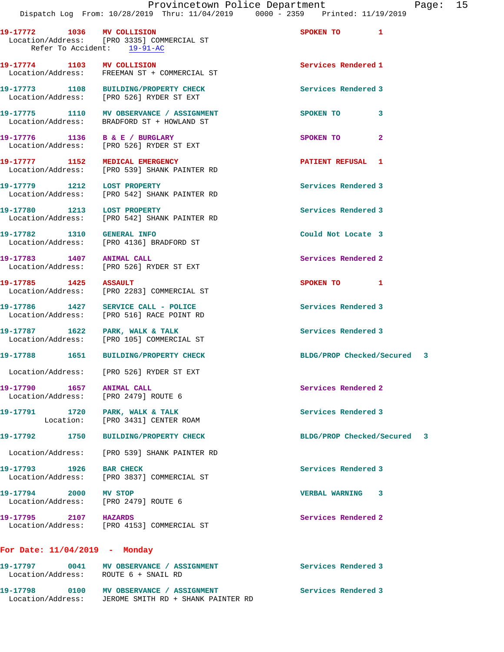| 19-17772 1036 MV COLLISION<br>Refer To Accident: 19-91-AC     | Location/Address: [PRO 3335] COMMERCIAL ST                                             | SPOKEN TO 1                    |  |
|---------------------------------------------------------------|----------------------------------------------------------------------------------------|--------------------------------|--|
| 19-17774 1103 MV COLLISION                                    | Location/Address: FREEMAN ST + COMMERCIAL ST                                           | Services Rendered 1            |  |
|                                                               | 19-17773 1108 BUILDING/PROPERTY CHECK<br>Location/Address: [PRO 526] RYDER ST EXT      | Services Rendered 3            |  |
|                                                               | 19-17775 1110 MV OBSERVANCE / ASSIGNMENT<br>Location/Address: BRADFORD ST + HOWLAND ST | SPOKEN TO<br>3                 |  |
| 19-17776 1136 B & E / BURGLARY                                | Location/Address: [PRO 526] RYDER ST EXT                                               | SPOKEN TO<br>$\mathbf{2}$      |  |
|                                                               | 19-17777 1152 MEDICAL EMERGENCY<br>Location/Address: [PRO 539] SHANK PAINTER RD        | <b>PATIENT REFUSAL 1</b>       |  |
| 19-17779 1212 LOST PROPERTY                                   | Location/Address: [PRO 542] SHANK PAINTER RD                                           | Services Rendered 3            |  |
| 19-17780 1213 LOST PROPERTY                                   | Location/Address: [PRO 542] SHANK PAINTER RD                                           | Services Rendered 3            |  |
| 19-17782 1310 GENERAL INFO                                    | Location/Address: [PRO 4136] BRADFORD ST                                               | Could Not Locate 3             |  |
| 19-17783 1407 ANIMAL CALL                                     | Location/Address: [PRO 526] RYDER ST EXT                                               | Services Rendered 2            |  |
| 19-17785 1425 ASSAULT                                         | Location/Address: [PRO 2283] COMMERCIAL ST                                             | SPOKEN TO 1                    |  |
|                                                               | 19-17786 1427 SERVICE CALL - POLICE<br>Location/Address: [PRO 516] RACE POINT RD       | Services Rendered 3            |  |
|                                                               | 19-17787 1622 PARK, WALK & TALK<br>Location/Address: [PRO 105] COMMERCIAL ST           | Services Rendered 3            |  |
|                                                               | 19-17788 1651 BUILDING/PROPERTY CHECK                                                  | BLDG/PROP Checked/Secured 3    |  |
|                                                               | Location/Address: [PRO 526] RYDER ST EXT                                               |                                |  |
| 19-17790 1657 ANIMAL CALL<br>Location/Address:                | [PRO 2479] ROUTE 6                                                                     | Services Rendered 2            |  |
| 19-17791 1720 PARK, WALK & TALK                               | Location: [PRO 3431] CENTER ROAM                                                       | Services Rendered 3            |  |
|                                                               | 19-17792 1750 BUILDING/PROPERTY CHECK                                                  | BLDG/PROP Checked/Secured<br>3 |  |
|                                                               | Location/Address: [PRO 539] SHANK PAINTER RD                                           |                                |  |
| 19-17793 1926 BAR CHECK                                       | Location/Address: [PRO 3837] COMMERCIAL ST                                             | Services Rendered 3            |  |
| 19-17794 2000 MV STOP<br>Location/Address: [PRO 2479] ROUTE 6 |                                                                                        | VERBAL WARNING 3               |  |
| 19-17795 2107 HAZARDS                                         | Location/Address: [PRO 4153] COMMERCIAL ST                                             | Services Rendered 2            |  |
| For Date: $11/04/2019$ - Monday                               |                                                                                        |                                |  |
|                                                               |                                                                                        | Services Rendered 3            |  |

Location/Address: ROUTE 6 + SNAIL RD

19-17798 0100 MV OBSERVANCE / ASSIGNMENT **Services Rendered 3** Location/Address: JEROME SMITH RD + SHANK PAINTER RD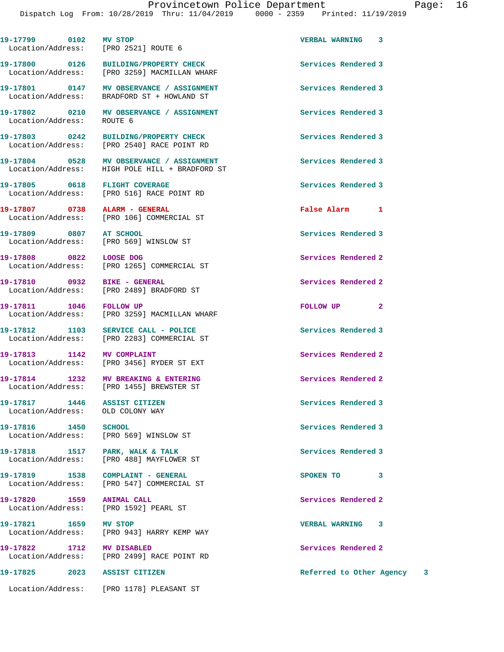| 19-17799 0102 MV STOP<br>Location/Address: [PRO 2521] ROUTE 6      |                                                                                            | VERBAL WARNING 3           |
|--------------------------------------------------------------------|--------------------------------------------------------------------------------------------|----------------------------|
|                                                                    | 19-17800 0126 BUILDING/PROPERTY CHECK<br>Location/Address: [PRO 3259] MACMILLAN WHARF      | Services Rendered 3        |
|                                                                    | 19-17801 0147 MV OBSERVANCE / ASSIGNMENT<br>Location/Address: BRADFORD ST + HOWLAND ST     | Services Rendered 3        |
| Location/Address: ROUTE 6                                          | 19-17802 0210 MV OBSERVANCE / ASSIGNMENT                                                   | Services Rendered 3        |
| 19-17803 0242                                                      | BUILDING/PROPERTY CHECK<br>Location/Address: [PRO 2540] RACE POINT RD                      | Services Rendered 3        |
|                                                                    | 19-17804 0528 MV OBSERVANCE / ASSIGNMENT<br>Location/Address: HIGH POLE HILL + BRADFORD ST | Services Rendered 3        |
| 19-17805 0618 FLIGHT COVERAGE                                      | Location/Address: [PRO 516] RACE POINT RD                                                  | Services Rendered 3        |
|                                                                    | 19-17807 0738 ALARM - GENERAL<br>Location/Address: [PRO 106] COMMERCIAL ST                 | False Alarm 1              |
| 19-17809 0807 AT SCHOOL                                            | Location/Address: [PRO 569] WINSLOW ST                                                     | Services Rendered 3        |
| 19-17808 0822 LOOSE DOG                                            | Location/Address: [PRO 1265] COMMERCIAL ST                                                 | Services Rendered 2        |
|                                                                    | 19-17810 0932 BIKE - GENERAL<br>Location/Address: [PRO 2489] BRADFORD ST                   | Services Rendered 2        |
|                                                                    | 19-17811 1046 FOLLOW UP<br>Location/Address: [PRO 3259] MACMILLAN WHARF                    | FOLLOW UP <sub>2</sub>     |
|                                                                    | 19-17812 1103 SERVICE CALL - POLICE<br>Location/Address: [PRO 2283] COMMERCIAL ST          | Services Rendered 3        |
|                                                                    | Location/Address: [PRO 3456] RYDER ST EXT                                                  | Services Rendered 2        |
|                                                                    | 19-17814 1232 MV BREAKING & ENTERING<br>Location/Address: [PRO 1455] BREWSTER ST           | Services Rendered 2        |
| 19-17817 1446<br>Location/Address:                                 | ASSIST CITIZEN<br>OLD COLONY WAY                                                           | Services Rendered 3        |
| 19-17816 1450 SCHOOL                                               | Location/Address: [PRO 569] WINSLOW ST                                                     | Services Rendered 3        |
| 19-17818 1517 PARK, WALK & TALK                                    | Location/Address: [PRO 488] MAYFLOWER ST                                                   | Services Rendered 3        |
|                                                                    | 19-17819 1538 COMPLAINT - GENERAL<br>Location/Address: [PRO 547] COMMERCIAL ST             | SPOKEN TO 3                |
| 19-17820 1559 ANIMAL CALL<br>Location/Address: [PRO 1592] PEARL ST |                                                                                            | Services Rendered 2        |
| 19-17821 1659 MV STOP                                              | Location/Address: [PRO 943] HARRY KEMP WAY                                                 | VERBAL WARNING 3           |
|                                                                    | 19-17822 1712 MV DISABLED<br>Location/Address: [PRO 2499] RACE POINT RD                    | Services Rendered 2        |
| 19-17825 2023 ASSIST CITIZEN                                       |                                                                                            | Referred to Other Agency 3 |
|                                                                    | Location/Address: [PRO 1178] PLEASANT ST                                                   |                            |